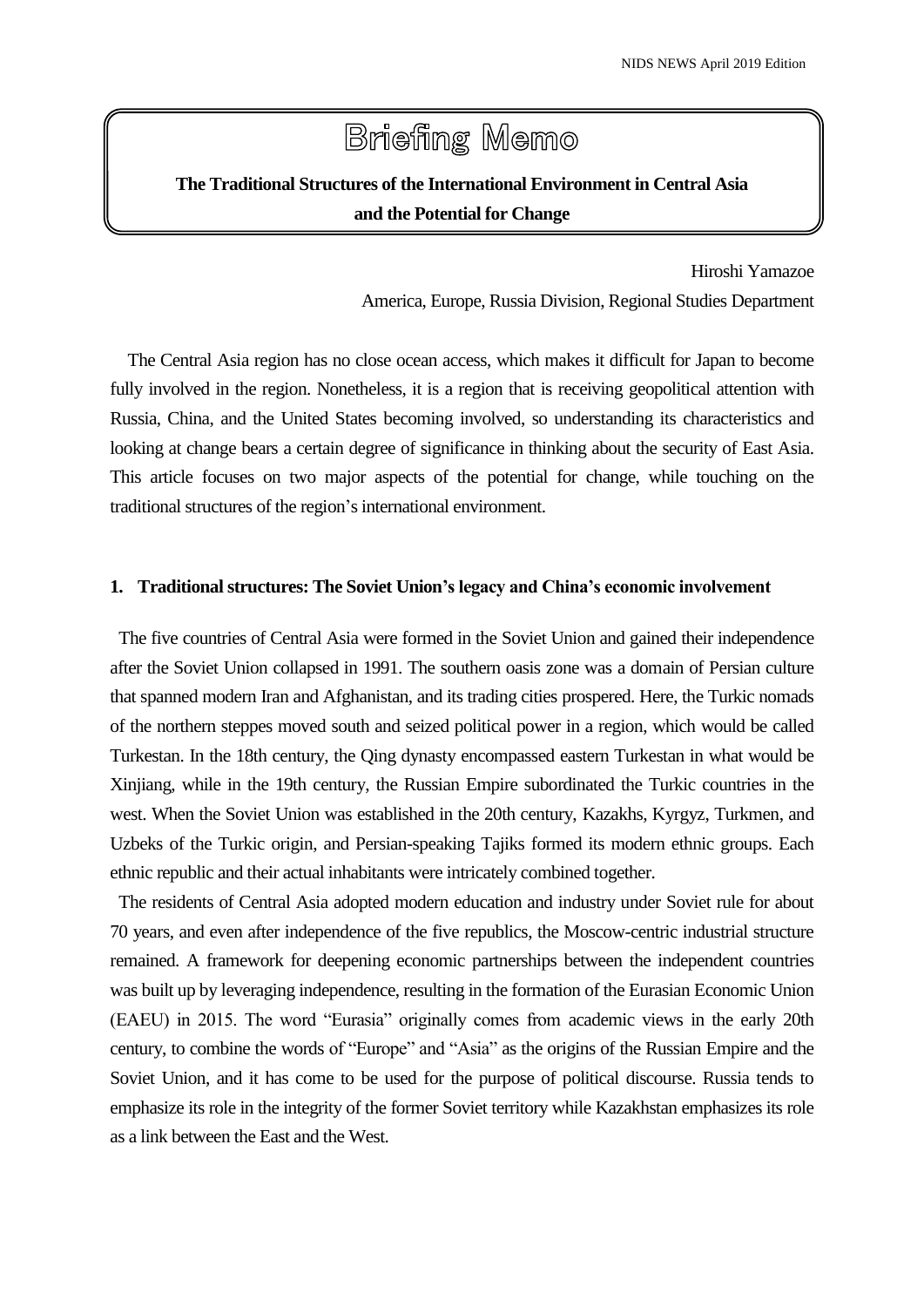# **Briefing Memo**

# **The Traditional Structures of the International Environment in Central Asia and the Potential for Change**

Hiroshi Yamazoe America, Europe, Russia Division, Regional Studies Department

The Central Asia region has no close ocean access, which makes it difficult for Japan to become fully involved in the region. Nonetheless, it is a region that is receiving geopolitical attention with Russia, China, and the United States becoming involved, so understanding its characteristics and looking at change bears a certain degree of significance in thinking about the security of East Asia. This article focuses on two major aspects of the potential for change, while touching on the traditional structures of the region's international environment.

## **1. Traditional structures: The Soviet Union's legacy and China's economic involvement**

The five countries of Central Asia were formed in the Soviet Union and gained their independence after the Soviet Union collapsed in 1991. The southern oasis zone was a domain of Persian culture that spanned modern Iran and Afghanistan, and its trading cities prospered. Here, the Turkic nomads of the northern steppes moved south and seized political power in a region, which would be called Turkestan. In the 18th century, the Qing dynasty encompassed eastern Turkestan in what would be Xinjiang, while in the 19th century, the Russian Empire subordinated the Turkic countries in the west. When the Soviet Union was established in the 20th century, Kazakhs, Kyrgyz, Turkmen, and Uzbeks of the Turkic origin, and Persian-speaking Tajiks formed its modern ethnic groups. Each ethnic republic and their actual inhabitants were intricately combined together.

The residents of Central Asia adopted modern education and industry under Soviet rule for about 70 years, and even after independence of the five republics, the Moscow-centric industrial structure remained. A framework for deepening economic partnerships between the independent countries was built up by leveraging independence, resulting in the formation of the Eurasian Economic Union (EAEU) in 2015. The word "Eurasia" originally comes from academic views in the early 20th century, to combine the words of "Europe" and "Asia" as the origins of the Russian Empire and the Soviet Union, and it has come to be used for the purpose of political discourse. Russia tends to emphasize its role in the integrity of the former Soviet territory while Kazakhstan emphasizes its role as a link between the East and the West.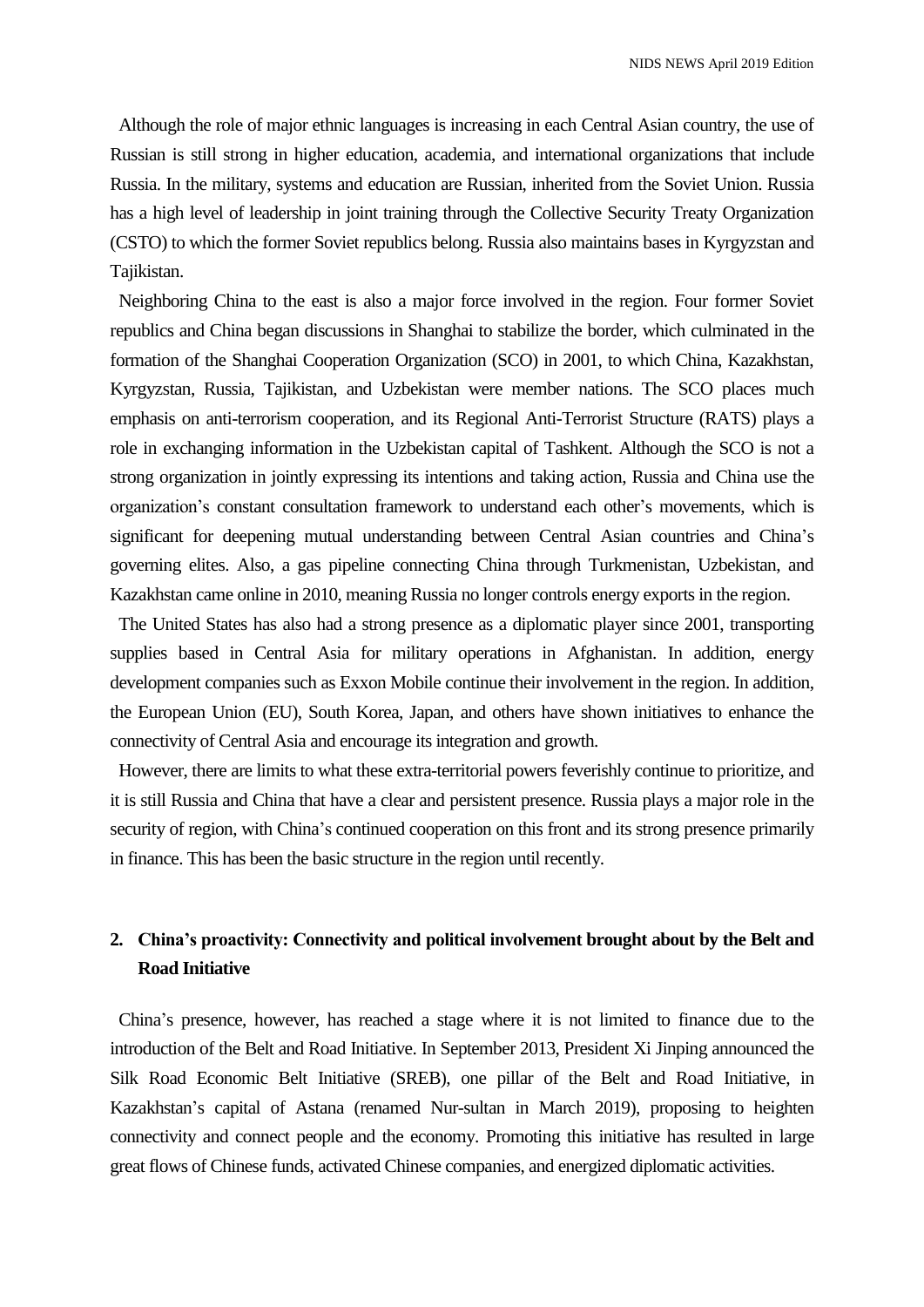Although the role of major ethnic languages is increasing in each Central Asian country, the use of Russian is still strong in higher education, academia, and international organizations that include Russia. In the military, systems and education are Russian, inherited from the Soviet Union. Russia has a high level of leadership in joint training through the Collective Security Treaty Organization (CSTO) to which the former Soviet republics belong. Russia also maintains bases in Kyrgyzstan and Tajikistan.

Neighboring China to the east is also a major force involved in the region. Four former Soviet republics and China began discussions in Shanghai to stabilize the border, which culminated in the formation of the Shanghai Cooperation Organization (SCO) in 2001, to which China, Kazakhstan, Kyrgyzstan, Russia, Tajikistan, and Uzbekistan were member nations. The SCO places much emphasis on anti-terrorism cooperation, and its Regional Anti-Terrorist Structure (RATS) plays a role in exchanging information in the Uzbekistan capital of Tashkent. Although the SCO is not a strong organization in jointly expressing its intentions and taking action, Russia and China use the organization's constant consultation framework to understand each other's movements, which is significant for deepening mutual understanding between Central Asian countries and China's governing elites. Also, a gas pipeline connecting China through Turkmenistan, Uzbekistan, and Kazakhstan came online in 2010, meaning Russia no longer controls energy exports in the region.

The United States has also had a strong presence as a diplomatic player since 2001, transporting supplies based in Central Asia for military operations in Afghanistan. In addition, energy development companies such as Exxon Mobile continue their involvement in the region. In addition, the European Union (EU), South Korea, Japan, and others have shown initiatives to enhance the connectivity of Central Asia and encourage its integration and growth.

However, there are limits to what these extra-territorial powers feverishly continue to prioritize, and it is still Russia and China that have a clear and persistent presence. Russia plays a major role in the security of region, with China's continued cooperation on this front and its strong presence primarily in finance. This has been the basic structure in the region until recently.

# **2. China's proactivity: Connectivity and political involvement brought about by the Belt and Road Initiative**

China's presence, however, has reached a stage where it is not limited to finance due to the introduction of the Belt and Road Initiative. In September 2013, President Xi Jinping announced the Silk Road Economic Belt Initiative (SREB), one pillar of the Belt and Road Initiative, in Kazakhstan's capital of Astana (renamed Nur-sultan in March 2019), proposing to heighten connectivity and connect people and the economy. Promoting this initiative has resulted in large great flows of Chinese funds, activated Chinese companies, and energized diplomatic activities.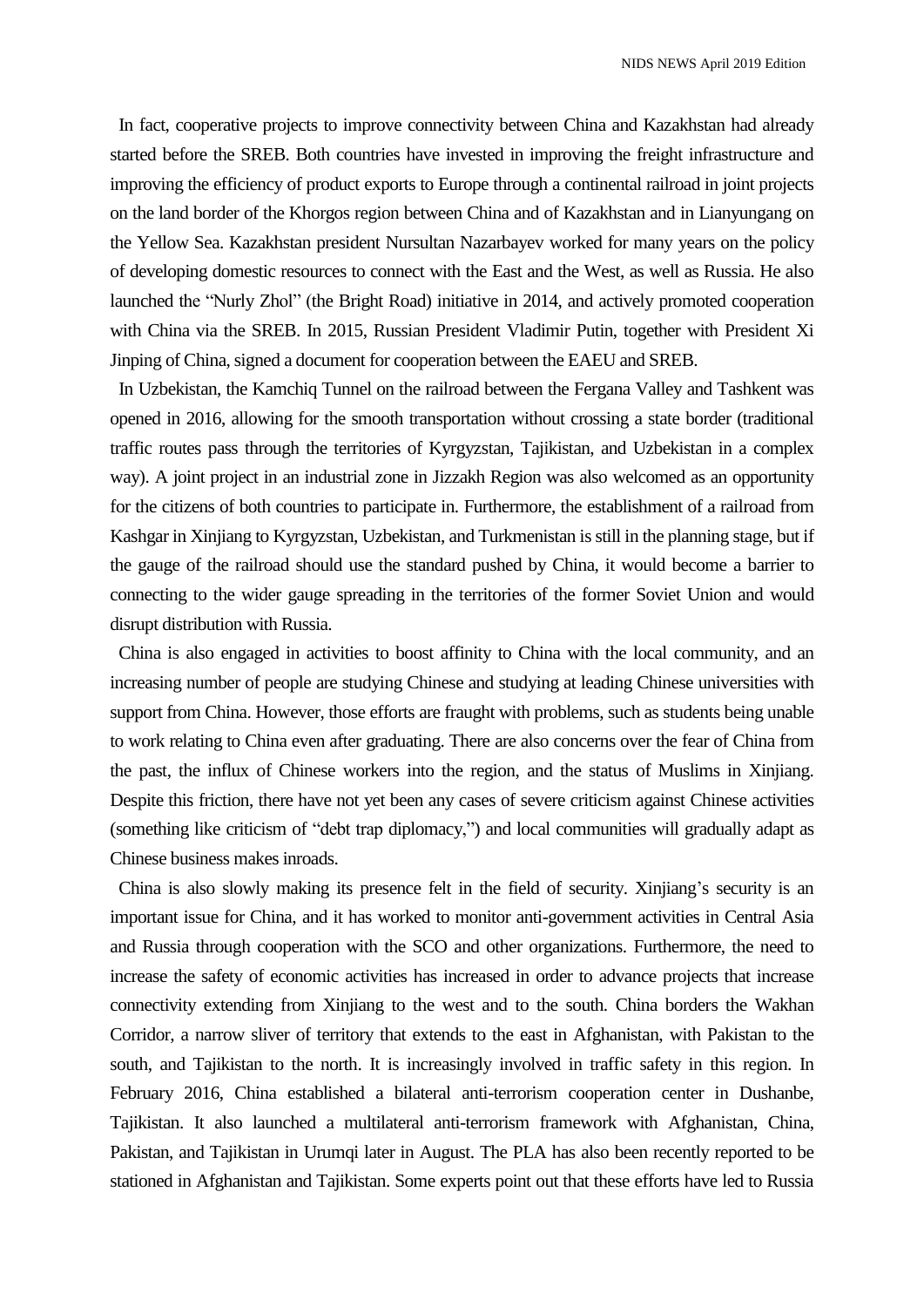In fact, cooperative projects to improve connectivity between China and Kazakhstan had already started before the SREB. Both countries have invested in improving the freight infrastructure and improving the efficiency of product exports to Europe through a continental railroad in joint projects on the land border of the Khorgos region between China and of Kazakhstan and in Lianyungang on the Yellow Sea. Kazakhstan president Nursultan Nazarbayev worked for many years on the policy of developing domestic resources to connect with the East and the West, as well as Russia. He also launched the "Nurly Zhol" (the Bright Road) initiative in 2014, and actively promoted cooperation with China via the SREB. In 2015, Russian President Vladimir Putin, together with President Xi Jinping of China, signed a document for cooperation between the EAEU and SREB.

In Uzbekistan, the Kamchiq Tunnel on the railroad between the Fergana Valley and Tashkent was opened in 2016, allowing for the smooth transportation without crossing a state border (traditional traffic routes pass through the territories of Kyrgyzstan, Tajikistan, and Uzbekistan in a complex way). A joint project in an industrial zone in Jizzakh Region was also welcomed as an opportunity for the citizens of both countries to participate in. Furthermore, the establishment of a railroad from Kashgar in Xinjiang to Kyrgyzstan, Uzbekistan, and Turkmenistan is still in the planning stage, but if the gauge of the railroad should use the standard pushed by China, it would become a barrier to connecting to the wider gauge spreading in the territories of the former Soviet Union and would disrupt distribution with Russia.

China is also engaged in activities to boost affinity to China with the local community, and an increasing number of people are studying Chinese and studying at leading Chinese universities with support from China. However, those efforts are fraught with problems, such as students being unable to work relating to China even after graduating. There are also concerns over the fear of China from the past, the influx of Chinese workers into the region, and the status of Muslims in Xinjiang. Despite this friction, there have not yet been any cases of severe criticism against Chinese activities (something like criticism of "debt trap diplomacy,") and local communities will gradually adapt as Chinese business makes inroads.

China is also slowly making its presence felt in the field of security. Xinjiang's security is an important issue for China, and it has worked to monitor anti-government activities in Central Asia and Russia through cooperation with the SCO and other organizations. Furthermore, the need to increase the safety of economic activities has increased in order to advance projects that increase connectivity extending from Xinjiang to the west and to the south. China borders the Wakhan Corridor, a narrow sliver of territory that extends to the east in Afghanistan, with Pakistan to the south, and Tajikistan to the north. It is increasingly involved in traffic safety in this region. In February 2016, China established a bilateral anti-terrorism cooperation center in Dushanbe, Tajikistan. It also launched a multilateral anti-terrorism framework with Afghanistan, China, Pakistan, and Tajikistan in Urumqi later in August. The PLA has also been recently reported to be stationed in Afghanistan and Tajikistan. Some experts point out that these efforts have led to Russia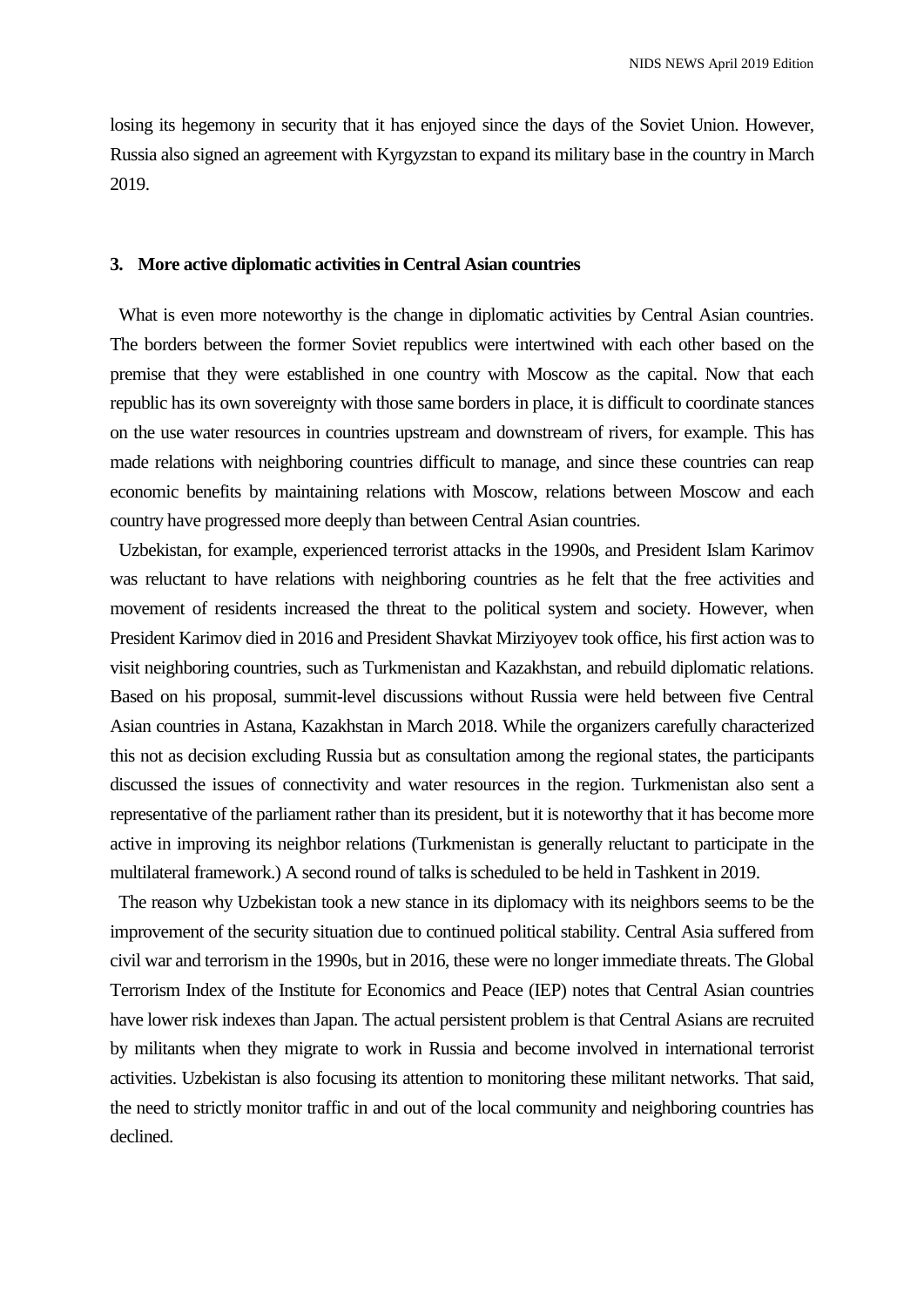losing its hegemony in security that it has enjoyed since the days of the Soviet Union. However, Russia also signed an agreement with Kyrgyzstan to expand its military base in the country in March 2019.

#### **3. More active diplomatic activities in Central Asian countries**

What is even more noteworthy is the change in diplomatic activities by Central Asian countries. The borders between the former Soviet republics were intertwined with each other based on the premise that they were established in one country with Moscow as the capital. Now that each republic has its own sovereignty with those same borders in place, it is difficult to coordinate stances on the use water resources in countries upstream and downstream of rivers, for example. This has made relations with neighboring countries difficult to manage, and since these countries can reap economic benefits by maintaining relations with Moscow, relations between Moscow and each country have progressed more deeply than between Central Asian countries.

Uzbekistan, for example, experienced terrorist attacks in the 1990s, and President Islam Karimov was reluctant to have relations with neighboring countries as he felt that the free activities and movement of residents increased the threat to the political system and society. However, when President Karimov died in 2016 and President Shavkat Mirziyoyev took office, his first action was to visit neighboring countries, such as Turkmenistan and Kazakhstan, and rebuild diplomatic relations. Based on his proposal, summit-level discussions without Russia were held between five Central Asian countries in Astana, Kazakhstan in March 2018. While the organizers carefully characterized this not as decision excluding Russia but as consultation among the regional states, the participants discussed the issues of connectivity and water resources in the region. Turkmenistan also sent a representative of the parliament rather than its president, but it is noteworthy that it has become more active in improving its neighbor relations (Turkmenistan is generally reluctant to participate in the multilateral framework.) A second round of talks is scheduled to be held in Tashkent in 2019.

The reason why Uzbekistan took a new stance in its diplomacy with its neighbors seems to be the improvement of the security situation due to continued political stability. Central Asia suffered from civil war and terrorism in the 1990s, but in 2016, these were no longer immediate threats. The Global Terrorism Index of the Institute for Economics and Peace (IEP) notes that Central Asian countries have lower risk indexes than Japan. The actual persistent problem is that Central Asians are recruited by militants when they migrate to work in Russia and become involved in international terrorist activities. Uzbekistan is also focusing its attention to monitoring these militant networks. That said, the need to strictly monitor traffic in and out of the local community and neighboring countries has declined.